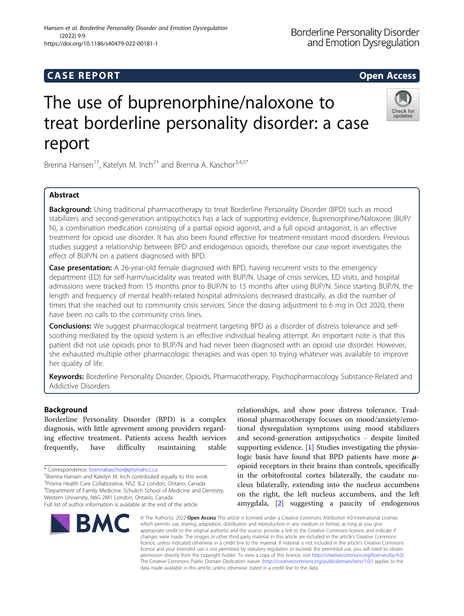## **CASE REPORT CASE REPORT** And the contract of the contract of the contract of the contract of the contract of the contract of the contract of the contract of the contract of the contract of the contract of the contract of

# The use of buprenorphine/naloxone to treat borderline personality disorder: a case report

Brenna Hansen<sup>1†</sup>, Katelyn M. Inch<sup>2†</sup> and Brenna A. Kaschor<sup>3,4,5\*</sup>

## Abstract

**Background:** Using traditional pharmacotherapy to treat Borderline Personality Disorder (BPD) such as mood stabilizers and second-generation antipsychotics has a lack of supporting evidence. Buprenorphine/Naloxone (BUP/ N), a combination medication consisting of a partial opioid agonist, and a full opioid antagonist, is an effective treatment for opioid use disorder. It has also been found effective for treatment-resistant mood disorders. Previous studies suggest a relationship between BPD and endogenous opioids, therefore our case report investigates the effect of BUP/N on a patient diagnosed with BPD.

Case presentation: A 26-year-old female diagnosed with BPD, having recurrent visits to the emergency department (ED) for self-harm/suicidality was treated with BUP/N. Usage of crisis services, ED visits, and hospital admissions were tracked from 15 months prior to BUP/N to 15 months after using BUP/N. Since starting BUP/N, the length and frequency of mental health-related hospital admissions decreased drastically, as did the number of times that she reached out to community crisis services. Since the dosing adjustment to 6 mg in Oct 2020, there have been no calls to the community crisis lines.

Conclusions: We suggest pharmacological treatment targeting BPD as a disorder of distress tolerance and selfsoothing mediated by the opioid system is an effective individual healing attempt. An important note is that this patient did not use opioids prior to BUP/N and had never been diagnosed with an opioid use disorder. However, she exhausted multiple other pharmacologic therapies and was open to trying whatever was available to improve her quality of life.

Keywords: Borderline Personality Disorder, Opioids, Pharmacotherapy, Psychopharmacology Substance-Related and Addictive Disorders

© The Author(s). 2022 Open Access This article is licensed under a Creative Commons Attribution 4.0 International License,

## Background

Borderline Personality Disorder (BPD) is a complex diagnosis, with little agreement among providers regarding effective treatment. Patients access health services frequently, have difficulty maintaining stable

\* Correspondence: [brennakaschor@prismahcc.ca](mailto:brennakaschor@prismahcc.ca) †

 $^\dagger$ Brenna Hansen and Katelyn M. Inch contributed equally to this work. 3 Prisma Health Care Collaborative, N5Z 3L2 London, Ontario, Canada <sup>4</sup>Department of Family Medicine, Schulich School of Medicine and Dentistry,

Western University, N6G 2M1 London, Ontario, Canada

Hansen et al. Borderline Personality Disorder and Emotion Dysregulation (2022) 9:9 https://doi.org/10.1186/s40479-022-00181-1

> which permits use, sharing, adaptation, distribution and reproduction in any medium or format, as long as you give appropriate credit to the original author(s) and the source, provide a link to the Creative Commons licence, and indicate if changes were made. The images or other third party material in this article are included in the article's Creative Commons licence, unless indicated otherwise in a credit line to the material. If material is not included in the article's Creative Commons licence and your intended use is not permitted by statutory regulation or exceeds the permitted use, you will need to obtain permission directly from the copyright holder. To view a copy of this licence, visit [http://creativecommons.org/licenses/by/4.0/.](http://creativecommons.org/licenses/by/4.0/) The Creative Commons Public Domain Dedication waiver [\(http://creativecommons.org/publicdomain/zero/1.0/](http://creativecommons.org/publicdomain/zero/1.0/)) applies to the

data made available in this article, unless otherwise stated in a credit line to the data.

relationships, and show poor distress tolerance. Traditional pharmacotherapy focuses on mood/anxiety/emotional dysregulation symptoms using mood stabilizers and second-generation antipsychotics - despite limited supporting evidence. [\[1](#page-2-0)] Studies investigating the physiologic basis have found that BPD patients have more  $\mu$ opioid receptors in their brains than controls, specifically in the orbitofrontal cortex bilaterally, the caudate nucleus bilaterally, extending into the nucleus accumbens on the right, the left nucleus accumbens, and the left amygdala, [\[2](#page-2-0)] suggesting a paucity of endogenous

## **Borderline Personality Disorder** and Emotion Dysregulation

Check for updates





Full list of author information is available at the end of the article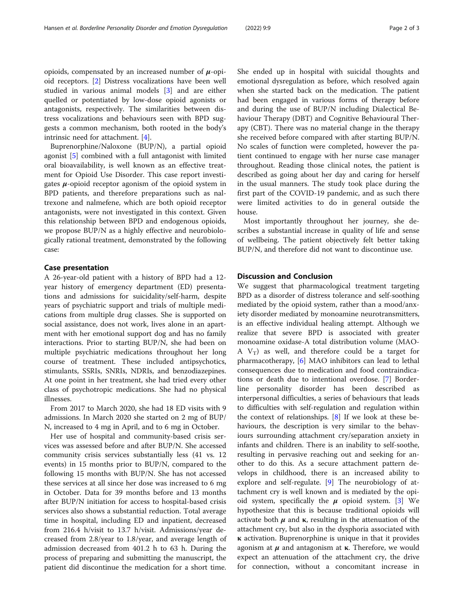opioids, compensated by an increased number of  $\mu$ -opioid receptors. [[2](#page-2-0)] Distress vocalizations have been well studied in various animal models [[3](#page-2-0)] and are either quelled or potentiated by low-dose opioid agonists or antagonists, respectively. The similarities between distress vocalizations and behaviours seen with BPD suggests a common mechanism, both rooted in the body's intrinsic need for attachment. [\[4](#page-2-0)].

Buprenorphine/Naloxone (BUP/N), a partial opioid agonist [[5\]](#page-2-0) combined with a full antagonist with limited oral bioavailability, is well known as an effective treatment for Opioid Use Disorder. This case report investigates  $\mu$ -opioid receptor agonism of the opioid system in BPD patients, and therefore preparations such as naltrexone and nalmefene, which are both opioid receptor antagonists, were not investigated in this context. Given this relationship between BPD and endogenous opioids, we propose BUP/N as a highly effective and neurobiologically rational treatment, demonstrated by the following case:

### Case presentation

A 26-year-old patient with a history of BPD had a 12 year history of emergency department (ED) presentations and admissions for suicidality/self-harm, despite years of psychiatric support and trials of multiple medications from multiple drug classes. She is supported on social assistance, does not work, lives alone in an apartment with her emotional support dog and has no family interactions. Prior to starting BUP/N, she had been on multiple psychiatric medications throughout her long course of treatment. These included antipsychotics, stimulants, SSRIs, SNRIs, NDRIs, and benzodiazepines. At one point in her treatment, she had tried every other class of psychotropic medications. She had no physical illnesses.

From 2017 to March 2020, she had 18 ED visits with 9 admissions. In March 2020 she started on 2 mg of BUP/ N, increased to 4 mg in April, and to 6 mg in October.

Her use of hospital and community-based crisis services was assessed before and after BUP/N. She accessed community crisis services substantially less (41 vs. 12 events) in 15 months prior to BUP/N, compared to the following 15 months with BUP/N. She has not accessed these services at all since her dose was increased to 6 mg in October. Data for 39 months before and 13 months after BUP/N initiation for access to hospital-based crisis services also shows a substantial reduction. Total average time in hospital, including ED and inpatient, decreased from 216.4 h/visit to 13.7 h/visit. Admissions/year decreased from 2.8/year to 1.8/year, and average length of admission decreased from 401.2 h to 63 h. During the process of preparing and submitting the manuscript, the patient did discontinue the medication for a short time.

She ended up in hospital with suicidal thoughts and emotional dysregulation as before, which resolved again when she started back on the medication. The patient had been engaged in various forms of therapy before and during the use of BUP/N including Dialectical Behaviour Therapy (DBT) and Cognitive Behavioural Therapy (CBT). There was no material change in the therapy she received before compared with after starting BUP/N. No scales of function were completed, however the patient continued to engage with her nurse case manager throughout. Reading those clinical notes, the patient is described as going about her day and caring for herself in the usual manners. The study took place during the first part of the COVID-19 pandemic, and as such there were limited activities to do in general outside the house.

Most importantly throughout her journey, she describes a substantial increase in quality of life and sense of wellbeing. The patient objectively felt better taking BUP/N, and therefore did not want to discontinue use.

#### Discussion and Conclusion

We suggest that pharmacological treatment targeting BPD as a disorder of distress tolerance and self-soothing mediated by the opioid system, rather than a mood/anxiety disorder mediated by monoamine neurotransmitters, is an effective individual healing attempt. Although we realize that severe BPD is associated with greater monoamine oxidase-A total distribution volume (MAO-A  $V_T$ ) as well, and therefore could be a target for pharmacotherapy, [[6\]](#page-2-0) MAO inhibitors can lead to lethal consequences due to medication and food contraindications or death due to intentional overdose. [[7\]](#page-2-0) Borderline personality disorder has been described as interpersonal difficulties, a series of behaviours that leads to difficulties with self-regulation and regulation within the context of relationships. [\[8](#page-2-0)] If we look at these behaviours, the description is very similar to the behaviours surrounding attachment cry/separation anxiety in infants and children. There is an inability to self-soothe, resulting in pervasive reaching out and seeking for another to do this. As a secure attachment pattern develops in childhood, there is an increased ability to explore and self-regulate. [[9\]](#page-2-0) The neurobiology of attachment cry is well known and is mediated by the opioid system, specifically the  $\mu$  opioid system. [\[3](#page-2-0)] We hypothesize that this is because traditional opioids will activate both  $\mu$  and **κ**, resulting in the attenuation of the attachment cry, but also in the dysphoria associated with κ activation. Buprenorphine is unique in that it provides agonism at  $\mu$  and antagonism at  $\kappa$ . Therefore, we would expect an attenuation of the attachment cry, the drive for connection, without a concomitant increase in